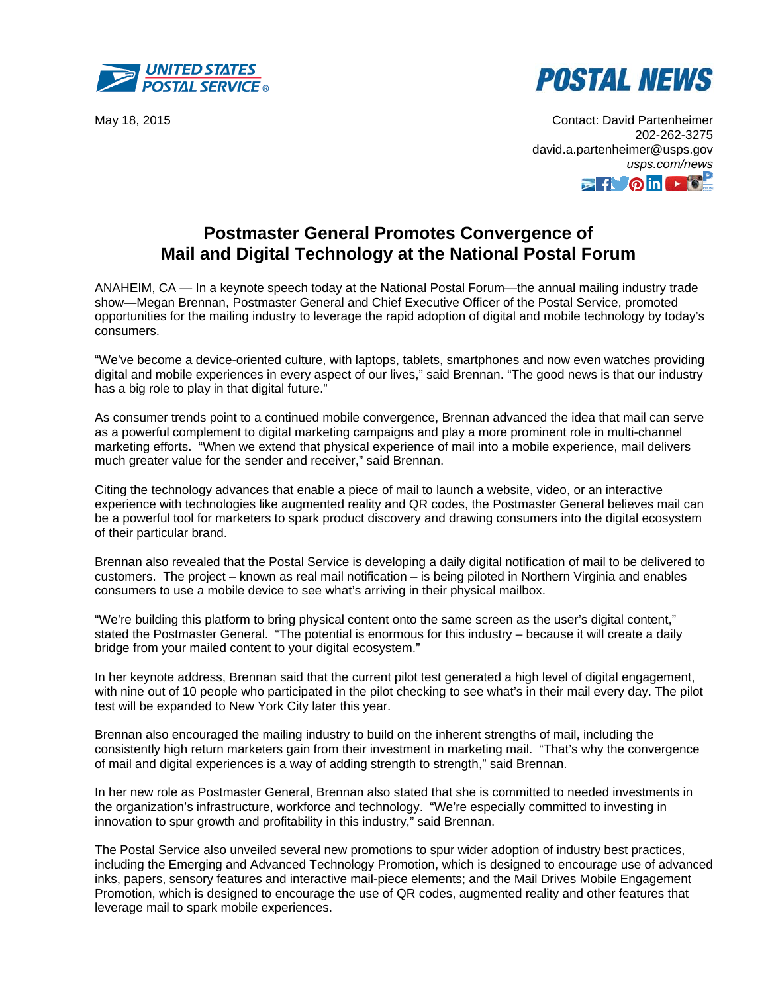



May 18, 2015 Contact: David Partenheimer 202-262-3275 david.a.partenheimer@usps.gov *usps.com/news*   $\Rightarrow$  for  $\circ$  in  $\rightarrow$ 

## **Postmaster General Promotes Convergence of Mail and Digital Technology at the National Postal Forum**

ANAHEIM, CA — In a keynote speech today at the National Postal Forum—the annual mailing industry trade show—Megan Brennan, Postmaster General and Chief Executive Officer of the Postal Service, promoted opportunities for the mailing industry to leverage the rapid adoption of digital and mobile technology by today's consumers.

"We've become a device-oriented culture, with laptops, tablets, smartphones and now even watches providing digital and mobile experiences in every aspect of our lives," said Brennan. "The good news is that our industry has a big role to play in that digital future."

As consumer trends point to a continued mobile convergence, Brennan advanced the idea that mail can serve as a powerful complement to digital marketing campaigns and play a more prominent role in multi-channel marketing efforts. "When we extend that physical experience of mail into a mobile experience, mail delivers much greater value for the sender and receiver," said Brennan.

Citing the technology advances that enable a piece of mail to launch a website, video, or an interactive experience with technologies like augmented reality and QR codes, the Postmaster General believes mail can be a powerful tool for marketers to spark product discovery and drawing consumers into the digital ecosystem of their particular brand.

Brennan also revealed that the Postal Service is developing a daily digital notification of mail to be delivered to customers. The project – known as real mail notification – is being piloted in Northern Virginia and enables consumers to use a mobile device to see what's arriving in their physical mailbox.

"We're building this platform to bring physical content onto the same screen as the user's digital content," stated the Postmaster General. "The potential is enormous for this industry – because it will create a daily bridge from your mailed content to your digital ecosystem."

In her keynote address, Brennan said that the current pilot test generated a high level of digital engagement, with nine out of 10 people who participated in the pilot checking to see what's in their mail every day. The pilot test will be expanded to New York City later this year.

Brennan also encouraged the mailing industry to build on the inherent strengths of mail, including the consistently high return marketers gain from their investment in marketing mail. "That's why the convergence of mail and digital experiences is a way of adding strength to strength," said Brennan.

In her new role as Postmaster General, Brennan also stated that she is committed to needed investments in the organization's infrastructure, workforce and technology. "We're especially committed to investing in innovation to spur growth and profitability in this industry," said Brennan.

The Postal Service also unveiled several new promotions to spur wider adoption of industry best practices, including the Emerging and Advanced Technology Promotion, which is designed to encourage use of advanced inks, papers, sensory features and interactive mail-piece elements; and the Mail Drives Mobile Engagement Promotion, which is designed to encourage the use of QR codes, augmented reality and other features that leverage mail to spark mobile experiences.